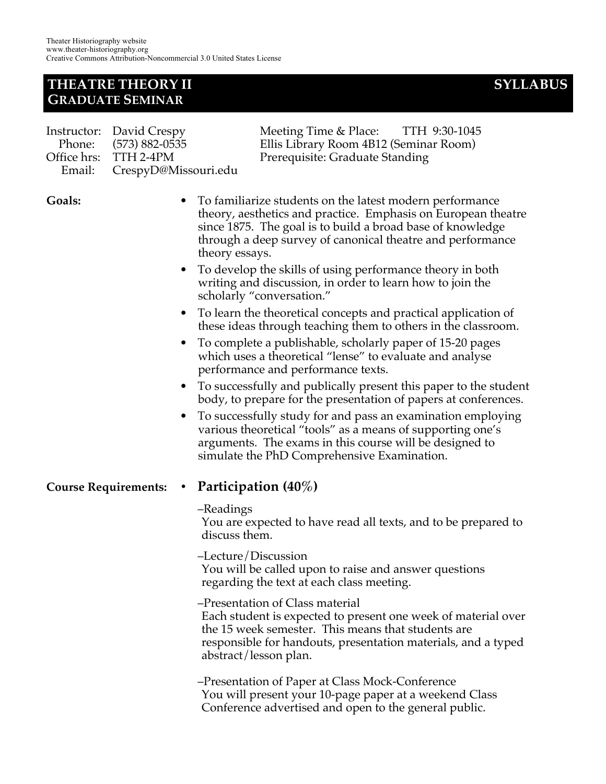## **THEATRE THEORY II SYLLABUS GRADUATE SEMINAR**

| Instructor: David Crespy    | Meeting Time & Place: TTH 9:30-1045    |  |
|-----------------------------|----------------------------------------|--|
| Phone: (573) 882-0535       | Ellis Library Room 4B12 (Seminar Room) |  |
| Office hrs: TTH 2-4PM       | Prerequisite: Graduate Standing        |  |
| Email: CrespyD@Missouri.edu |                                        |  |

**Goals:** • To familiarize students on the latest modern performance theory, aesthetics and practice. Emphasis on European theatre since 1875. The goal is to build a broad base of knowledge through a deep survey of canonical theatre and performance theory essays.

- To develop the skills of using performance theory in both writing and discussion, in order to learn how to join the scholarly "conversation."
- To learn the theoretical concepts and practical application of these ideas through teaching them to others in the classroom.
- To complete a publishable, scholarly paper of 15-20 pages which uses a theoretical "lense" to evaluate and analyse performance and performance texts.
- To successfully and publically present this paper to the student body, to prepare for the presentation of papers at conferences.
- To successfully study for and pass an examination employing various theoretical "tools" as a means of supporting one's arguments. The exams in this course will be designed to simulate the PhD Comprehensive Examination.

#### **Course Requirements: • Participation (40%)**

–Readings

You are expected to have read all texts, and to be prepared to discuss them.

- –Lecture/Discussion You will be called upon to raise and answer questions regarding the text at each class meeting.
- –Presentation of Class material Each student is expected to present one week of material over the 15 week semester. This means that students are responsible for handouts, presentation materials, and a typed abstract/lesson plan.
- –Presentation of Paper at Class Mock-Conference You will present your 10-page paper at a weekend Class Conference advertised and open to the general public.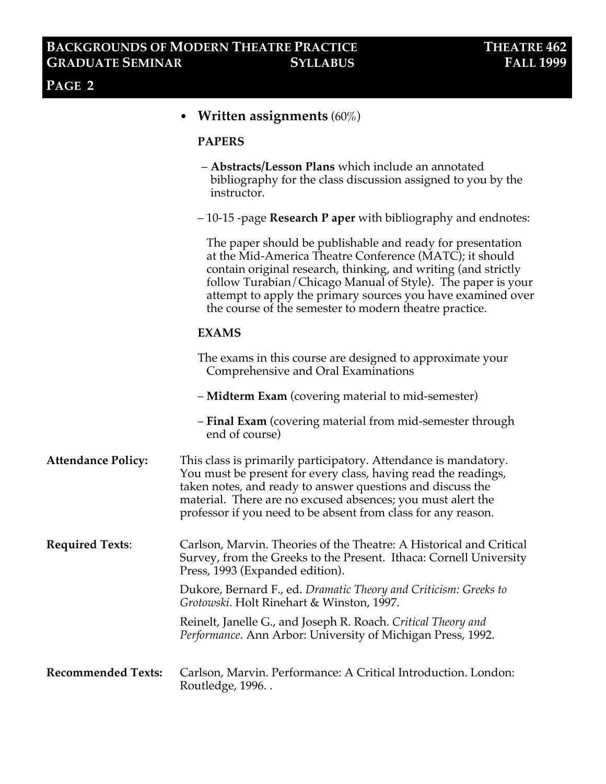|                           | <b>Written assignments</b> (60%)                                                                                                                                                                                                                                                                                                                                                |
|---------------------------|---------------------------------------------------------------------------------------------------------------------------------------------------------------------------------------------------------------------------------------------------------------------------------------------------------------------------------------------------------------------------------|
|                           | <b>PAPERS</b>                                                                                                                                                                                                                                                                                                                                                                   |
|                           | - Abstracts/Lesson Plans which include an annotated<br>bibliography for the class discussion assigned to you by the<br>instructor.                                                                                                                                                                                                                                              |
|                           | $-10-15$ -page Research P aper with bibliography and endnotes:                                                                                                                                                                                                                                                                                                                  |
|                           | The paper should be publishable and ready for presentation<br>at the Mid-America Theatre Conference (MATC); it should<br>contain original research, thinking, and writing (and strictly<br>follow Turabian/Chicago Manual of Style). The paper is your<br>attempt to apply the primary sources you have examined over<br>the course of the semester to modern theatre practice. |
|                           | <b>EXAMS</b>                                                                                                                                                                                                                                                                                                                                                                    |
|                           | The exams in this course are designed to approximate your<br>Comprehensive and Oral Examinations                                                                                                                                                                                                                                                                                |
|                           | - Midterm Exam (covering material to mid-semester)                                                                                                                                                                                                                                                                                                                              |
|                           | - <b>Final Exam</b> (covering material from mid-semester through<br>end of course)                                                                                                                                                                                                                                                                                              |
| <b>Attendance Policy:</b> | This class is primarily participatory. Attendance is mandatory.<br>You must be present for every class, having read the readings,<br>taken notes, and ready to answer questions and discuss the<br>material. There are no excused absences; you must alert the<br>professor if you need to be absent from class for any reason.                                                 |
| <b>Required Texts:</b>    | Carlson, Marvin. Theories of the Theatre: A Historical and Critical<br>Survey, from the Greeks to the Present. Ithaca: Cornell University<br>Press, 1993 (Expanded edition).                                                                                                                                                                                                    |
|                           | Dukore, Bernard F., ed. Dramatic Theory and Criticism: Greeks to<br><i>Grotowski.</i> Holt Rinehart & Winston, 1997.                                                                                                                                                                                                                                                            |
|                           | Reinelt, Janelle G., and Joseph R. Roach. Critical Theory and<br><i>Performance.</i> Ann Arbor: University of Michigan Press, 1992.                                                                                                                                                                                                                                             |
| Recommended Texts:        | Carlson, Marvin. Performance: A Critical Introduction. London:<br>Routledge, 1996                                                                                                                                                                                                                                                                                               |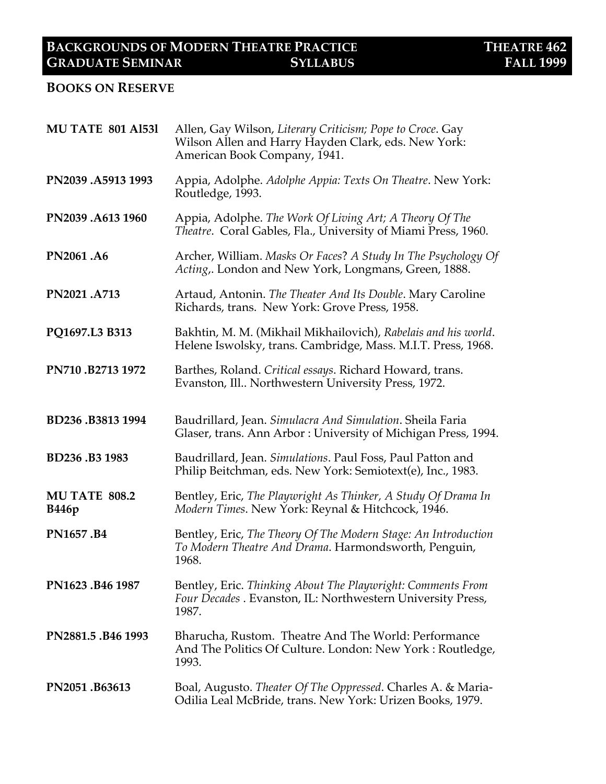#### **BOOKS ON RESERVE**

| <b>MU TATE 801 A1531</b>              | Allen, Gay Wilson, Literary Criticism; Pope to Croce. Gay<br>Wilson Allen and Harry Hayden Clark, eds. New York:<br>American Book Company, 1941. |  |
|---------------------------------------|--------------------------------------------------------------------------------------------------------------------------------------------------|--|
| PN2039.A5913 1993                     | Appia, Adolphe. Adolphe Appia: Texts On Theatre. New York:<br>Routledge, 1993.                                                                   |  |
| PN2039.A613 1960                      | Appia, Adolphe. The Work Of Living Art; A Theory Of The<br>Theatre. Coral Gables, Fla., University of Miami Press, 1960.                         |  |
| PN2061.A6                             | Archer, William. Masks Or Faces? A Study In The Psychology Of<br>Acting, London and New York, Longmans, Green, 1888.                             |  |
| PN2021.A713                           | Artaud, Antonin. The Theater And Its Double. Mary Caroline<br>Richards, trans. New York: Grove Press, 1958.                                      |  |
| PQ1697.L3 B313                        | Bakhtin, M. M. (Mikhail Mikhailovich), Rabelais and his world.<br>Helene Iswolsky, trans. Cambridge, Mass. M.I.T. Press, 1968.                   |  |
| PN710.B2713 1972                      | Barthes, Roland. Critical essays. Richard Howard, trans.<br>Evanston, Ill Northwestern University Press, 1972.                                   |  |
| BD236.B3813 1994                      | Baudrillard, Jean. Simulacra And Simulation. Sheila Faria<br>Glaser, trans. Ann Arbor: University of Michigan Press, 1994.                       |  |
| BD236.B3 1983                         | Baudrillard, Jean. Simulations. Paul Foss, Paul Patton and<br>Philip Beitchman, eds. New York: Semiotext(e), Inc., 1983.                         |  |
| <b>MU TATE 808.2</b><br><b>B</b> 446p | Bentley, Eric, The Playwright As Thinker, A Study Of Drama In<br>Modern Times. New York: Reynal & Hitchcock, 1946.                               |  |
| PN1657.B4                             | Bentley, Eric, The Theory Of The Modern Stage: An Introduction<br>To Modern Theatre And Drama. Harmondsworth, Penguin,<br>1968.                  |  |
| PN1623.B46 1987                       | Bentley, Eric. Thinking About The Playwright: Comments From<br>Four Decades . Evanston, IL: Northwestern University Press,<br>1987.              |  |
| PN2881.5.B46 1993                     | Bharucha, Rustom. Theatre And The World: Performance<br>And The Politics Of Culture. London: New York: Routledge,<br>1993.                       |  |
| PN2051.B63613                         | Boal, Augusto. Theater Of The Oppressed. Charles A. & Maria-<br>Odilia Leal McBride, trans. New York: Urizen Books, 1979.                        |  |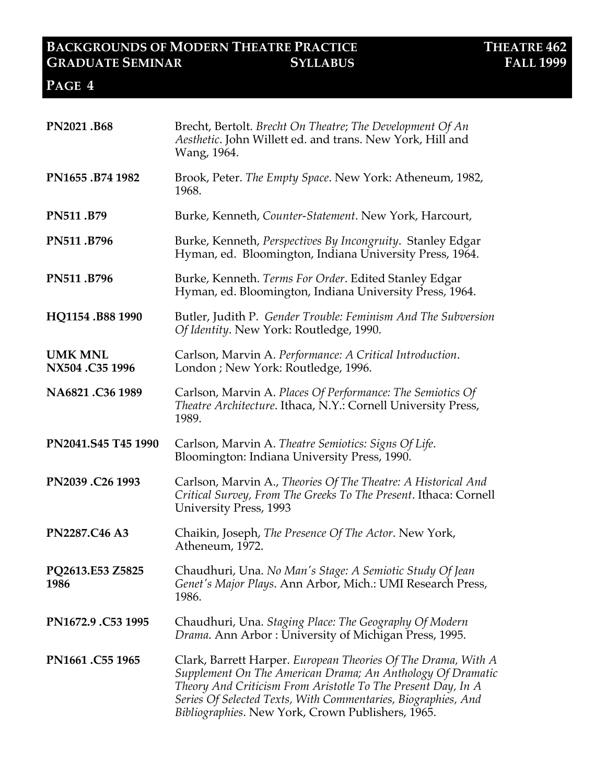| PN2021.B68                       | Brecht, Bertolt. Brecht On Theatre; The Development Of An<br>Aesthetic. John Willett ed. and trans. New York, Hill and<br>Wang, 1964.                                                                                                                                                                             |  |
|----------------------------------|-------------------------------------------------------------------------------------------------------------------------------------------------------------------------------------------------------------------------------------------------------------------------------------------------------------------|--|
| PN1655.B74 1982                  | Brook, Peter. The Empty Space. New York: Atheneum, 1982,<br>1968.                                                                                                                                                                                                                                                 |  |
| PN511.B79                        | Burke, Kenneth, Counter-Statement. New York, Harcourt,                                                                                                                                                                                                                                                            |  |
| PN511.B796                       | Burke, Kenneth, Perspectives By Incongruity. Stanley Edgar<br>Hyman, ed. Bloomington, Indiana University Press, 1964.                                                                                                                                                                                             |  |
| PN511.B796                       | Burke, Kenneth. Terms For Order. Edited Stanley Edgar<br>Hyman, ed. Bloomington, Indiana University Press, 1964.                                                                                                                                                                                                  |  |
| HQ1154.B88 1990                  | Butler, Judith P. Gender Trouble: Feminism And The Subversion<br>Of Identity. New York: Routledge, 1990.                                                                                                                                                                                                          |  |
| <b>UMK MNL</b><br>NX504.C35 1996 | Carlson, Marvin A. Performance: A Critical Introduction.<br>London; New York: Routledge, 1996.                                                                                                                                                                                                                    |  |
| NA6821.C36 1989                  | Carlson, Marvin A. Places Of Performance: The Semiotics Of<br>Theatre Architecture. Ithaca, N.Y.: Cornell University Press,<br>1989.                                                                                                                                                                              |  |
| PN2041.S45 T45 1990              | Carlson, Marvin A. Theatre Semiotics: Signs Of Life.<br>Bloomington: Indiana University Press, 1990.                                                                                                                                                                                                              |  |
| PN2039.C26 1993                  | Carlson, Marvin A., Theories Of The Theatre: A Historical And<br>Critical Survey, From The Greeks To The Present. Ithaca: Cornell<br>University Press, 1993                                                                                                                                                       |  |
| PN2287.C46 A3                    | Chaikin, Joseph, The Presence Of The Actor. New York,<br>Atheneum, 1972.                                                                                                                                                                                                                                          |  |
| PQ2613.E53 Z5825<br>1986         | Chaudhuri, Una. No Man's Stage: A Semiotic Study Of Jean<br>Genet's Major Plays. Ann Arbor, Mich.: UMI Research Press,<br>1986.                                                                                                                                                                                   |  |
| PN1672.9 .C53 1995               | Chaudhuri, Una. Staging Place: The Geography Of Modern<br>Drama. Ann Arbor: University of Michigan Press, 1995.                                                                                                                                                                                                   |  |
| PN1661.C55 1965                  | Clark, Barrett Harper. European Theories Of The Drama, With A<br>Supplement On The American Drama; An Anthology Of Dramatic<br>Theory And Criticism From Aristotle To The Present Day, In A<br>Series Of Selected Texts, With Commentaries, Biographies, And<br>Bibliographies. New York, Crown Publishers, 1965. |  |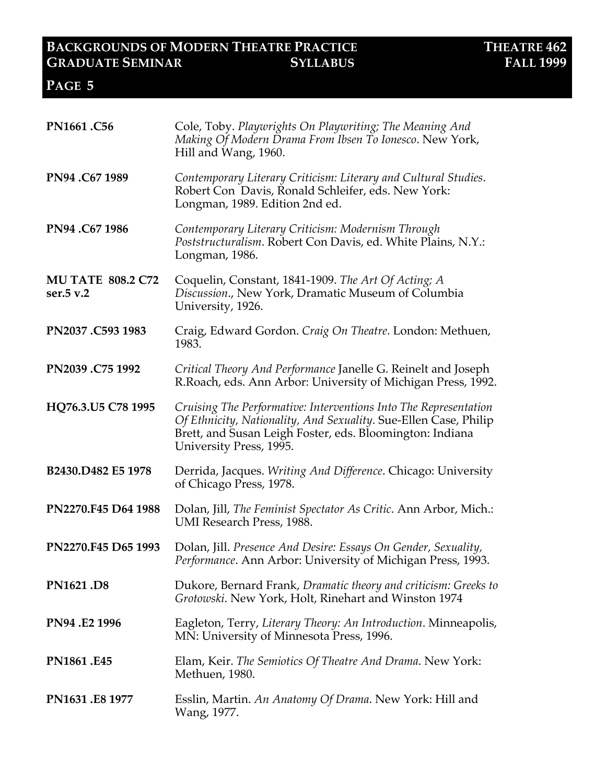| PN1661.C56                            | Cole, Toby. Playwrights On Playwriting; The Meaning And<br>Making Of Modern Drama From Ibsen To Ionesco. New York,<br>Hill and Wang, 1960.                                                                                  |  |  |
|---------------------------------------|-----------------------------------------------------------------------------------------------------------------------------------------------------------------------------------------------------------------------------|--|--|
| PN94.C671989                          | Contemporary Literary Criticism: Literary and Cultural Studies.<br>Robert Con Davis, Ronald Schleifer, eds. New York:<br>Longman, 1989. Edition 2nd ed.                                                                     |  |  |
| PN94.C671986                          | Contemporary Literary Criticism: Modernism Through<br><i>Poststructuralism.</i> Robert Con Davis, ed. White Plains, N.Y.:<br>Longman, 1986.                                                                                 |  |  |
| <b>MU TATE 808.2 C72</b><br>ser.5 v.2 | Coquelin, Constant, 1841-1909. The Art Of Acting; A<br>Discussion., New York, Dramatic Museum of Columbia<br>University, 1926.                                                                                              |  |  |
| PN2037.C593 1983                      | Craig, Edward Gordon. Craig On Theatre. London: Methuen,<br>1983.                                                                                                                                                           |  |  |
| PN2039.C75 1992                       | Critical Theory And Performance Janelle G. Reinelt and Joseph<br>R. Roach, eds. Ann Arbor: University of Michigan Press, 1992.                                                                                              |  |  |
| HQ76.3.U5 C78 1995                    | Cruising The Performative: Interventions Into The Representation<br>Of Ethnicity, Nationality, And Sexuality. Sue-Ellen Case, Philip<br>Brett, and Susan Leigh Foster, eds. Bloomington: Indiana<br>University Press, 1995. |  |  |
| B2430.D482 E5 1978                    | Derrida, Jacques. Writing And Difference. Chicago: University<br>of Chicago Press, 1978.                                                                                                                                    |  |  |
| PN2270.F45 D64 1988                   | Dolan, Jill, The Feminist Spectator As Critic. Ann Arbor, Mich.:<br>UMI Research Press, 1988.                                                                                                                               |  |  |
| PN2270.F45 D65 1993                   | Dolan, Jill. Presence And Desire: Essays On Gender, Sexuality,<br><i>Performance</i> . Ann Arbor: University of Michigan Press, 1993.                                                                                       |  |  |
| PN1621.D8                             | Dukore, Bernard Frank, Dramatic theory and criticism: Greeks to<br>Grotowski. New York, Holt, Rinehart and Winston 1974                                                                                                     |  |  |
| PN94.E2 1996                          | Eagleton, Terry, Literary Theory: An Introduction. Minneapolis,<br>MN: University of Minnesota Press, 1996.                                                                                                                 |  |  |
| PN1861.E45                            | Elam, Keir. The Semiotics Of Theatre And Drama. New York:<br>Methuen, 1980.                                                                                                                                                 |  |  |
| PN1631.E8 1977                        | Esslin, Martin. An Anatomy Of Drama. New York: Hill and<br>Wang, 1977.                                                                                                                                                      |  |  |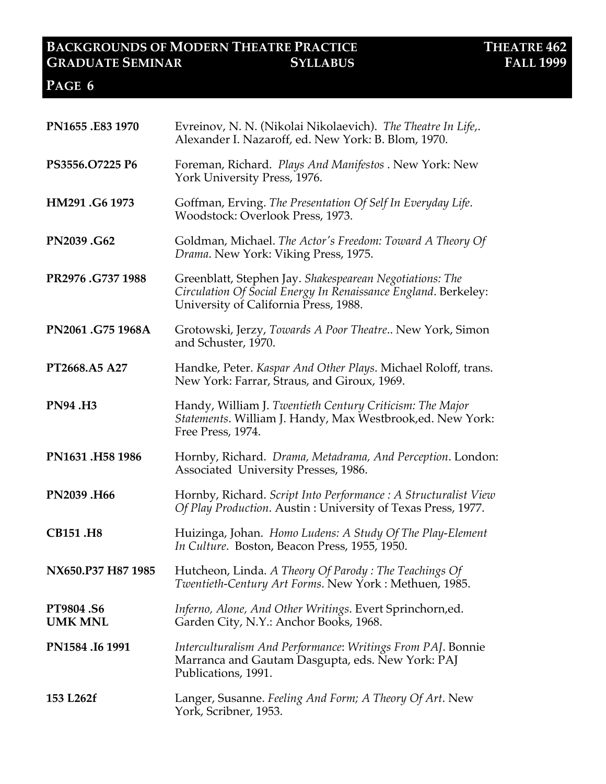| PN1655.E83 1970                    | Evreinov, N. N. (Nikolai Nikolaevich). The Theatre In Life,.<br>Alexander I. Nazaroff, ed. New York: B. Blom, 1970.                                                 |  |  |
|------------------------------------|---------------------------------------------------------------------------------------------------------------------------------------------------------------------|--|--|
| PS3556.O7225 P6                    | Foreman, Richard. Plays And Manifestos . New York: New<br>York University Press, 1976.                                                                              |  |  |
| HM291.G6 1973                      | Goffman, Erving. The Presentation Of Self In Everyday Life.<br>Woodstock: Overlook Press, 1973.                                                                     |  |  |
| PN2039.G62                         | Goldman, Michael. The Actor's Freedom: Toward A Theory Of<br>Drama. New York: Viking Press, 1975.                                                                   |  |  |
| PR2976.G737 1988                   | Greenblatt, Stephen Jay. Shakespearean Negotiations: The<br>Circulation Of Social Energy In Renaissance England. Berkeley:<br>University of California Press, 1988. |  |  |
| PN2061.G75 1968A                   | Grotowski, Jerzy, Towards A Poor Theatre New York, Simon<br>and Schuster, 1970.                                                                                     |  |  |
| PT2668.A5 A27                      | Handke, Peter. Kaspar And Other Plays. Michael Roloff, trans.<br>New York: Farrar, Straus, and Giroux, 1969.                                                        |  |  |
| <b>PN94.H3</b>                     | Handy, William J. Twentieth Century Criticism: The Major<br>Statements. William J. Handy, Max Westbrook, ed. New York:<br>Free Press, 1974.                         |  |  |
| PN1631.H58 1986                    | Hornby, Richard. Drama, Metadrama, And Perception. London:<br>Associated University Presses, 1986.                                                                  |  |  |
| PN2039.H66                         | Hornby, Richard. Script Into Performance : A Structuralist View<br>Of Play Production. Austin: University of Texas Press, 1977.                                     |  |  |
| <b>CB151.H8</b>                    | Huizinga, Johan. Homo Ludens: A Study Of The Play-Element<br>In Culture. Boston, Beacon Press, 1955, 1950.                                                          |  |  |
| NX650.P37 H87 1985                 | Hutcheon, Linda. A Theory Of Parody: The Teachings Of<br>Twentieth-Century Art Forms. New York: Methuen, 1985.                                                      |  |  |
| <b>PT9804.S6</b><br><b>UMK MNL</b> | Inferno, Alone, And Other Writings. Evert Sprinchorn, ed.<br>Garden City, N.Y.: Anchor Books, 1968.                                                                 |  |  |
| PN1584.I6 1991                     | Interculturalism And Performance: Writings From PAJ. Bonnie<br>Marranca and Gautam Dasgupta, eds. New York: PAJ<br>Publications, 1991.                              |  |  |
| 153 L262f                          | Langer, Susanne. Feeling And Form; A Theory Of Art. New<br>York, Scribner, 1953.                                                                                    |  |  |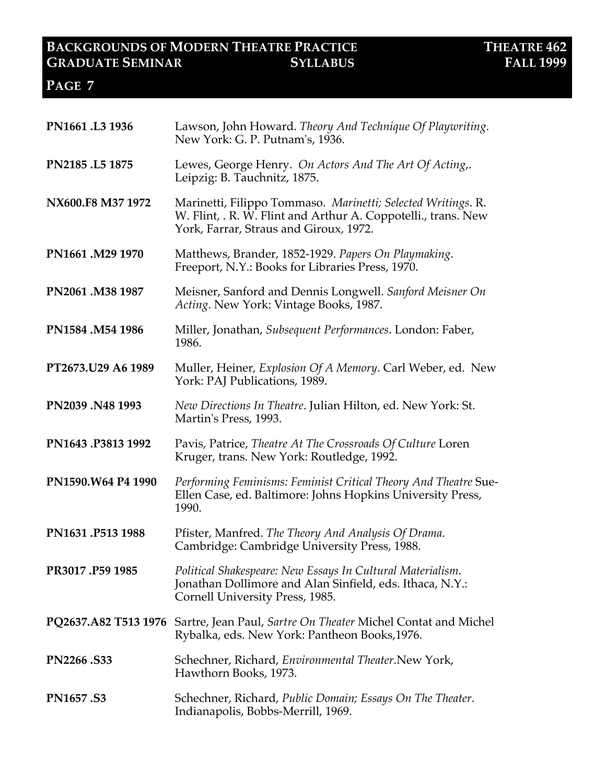| PN1661.L3 1936     | Lawson, John Howard. Theory And Technique Of Playwriting.<br>New York: G. P. Putnam's, 1936.                                                                            |  |  |
|--------------------|-------------------------------------------------------------------------------------------------------------------------------------------------------------------------|--|--|
| PN2185.L5 1875     | Lewes, George Henry. On Actors And The Art Of Acting,.<br>Leipzig: B. Tauchnitz, 1875.                                                                                  |  |  |
| NX600.F8 M37 1972  | Marinetti, Filippo Tommaso. Marinetti; Selected Writings. R.<br>W. Flint, . R. W. Flint and Arthur A. Coppotelli., trans. New<br>York, Farrar, Straus and Giroux, 1972. |  |  |
| PN1661.M29 1970    | Matthews, Brander, 1852-1929. Papers On Playmaking.<br>Freeport, N.Y.: Books for Libraries Press, 1970.                                                                 |  |  |
| PN2061.M38 1987    | Meisner, Sanford and Dennis Longwell. Sanford Meisner On<br>Acting. New York: Vintage Books, 1987.                                                                      |  |  |
| PN1584.M54 1986    | Miller, Jonathan, Subsequent Performances. London: Faber,<br>1986.                                                                                                      |  |  |
| PT2673.U29 A6 1989 | Muller, Heiner, Explosion Of A Memory. Carl Weber, ed. New<br>York: PAJ Publications, 1989.                                                                             |  |  |
| PN2039.N48 1993    | New Directions In Theatre. Julian Hilton, ed. New York: St.<br>Martin's Press, 1993.                                                                                    |  |  |
| PN1643.P3813 1992  | Pavis, Patrice, Theatre At The Crossroads Of Culture Loren<br>Kruger, trans. New York: Routledge, 1992.                                                                 |  |  |
| PN1590.W64 P4 1990 | Performing Feminisms: Feminist Critical Theory And Theatre Sue-<br>Ellen Case, ed. Baltimore: Johns Hopkins University Press,<br>1990.                                  |  |  |
| PN1631.P513 1988   | Pfister, Manfred. The Theory And Analysis Of Drama.<br>Cambridge: Cambridge University Press, 1988.                                                                     |  |  |
| PR3017.P59 1985    | Political Shakespeare: New Essays In Cultural Materialism.<br>Jonathan Dollimore and Alan Sinfield, eds. Ithaca, N.Y.:<br>Cornell University Press, 1985.               |  |  |
|                    | PQ2637.A82 T513 1976 Sartre, Jean Paul, Sartre On Theater Michel Contat and Michel<br>Rybalka, eds. New York: Pantheon Books, 1976.                                     |  |  |
| PN2266.S33         | Schechner, Richard, Environmental Theater.New York,<br>Hawthorn Books, 1973.                                                                                            |  |  |
| <b>PN1657.S3</b>   | Schechner, Richard, Public Domain; Essays On The Theater.<br>Indianapolis, Bobbs-Merrill, 1969.                                                                         |  |  |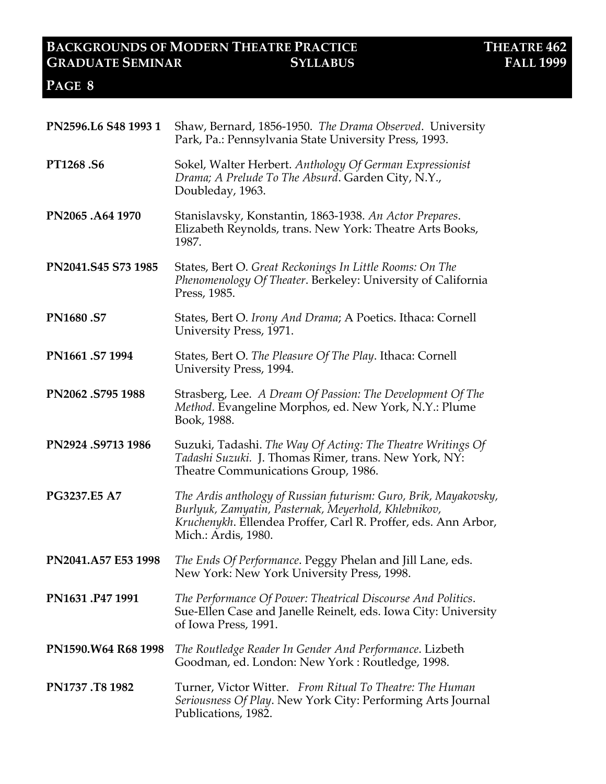| PN2596.L6 S48 1993 1 | Shaw, Bernard, 1856-1950. The Drama Observed. University<br>Park, Pa.: Pennsylvania State University Press, 1993.                                                                                                 |  |
|----------------------|-------------------------------------------------------------------------------------------------------------------------------------------------------------------------------------------------------------------|--|
| <b>PT1268.S6</b>     | Sokel, Walter Herbert. Anthology Of German Expressionist<br>Drama; A Prelude To The Absurd. Garden City, N.Y.,<br>Doubleday, 1963.                                                                                |  |
| PN2065.A64 1970      | Stanislavsky, Konstantin, 1863-1938. An Actor Prepares.<br>Elizabeth Reynolds, trans. New York: Theatre Arts Books,<br>1987.                                                                                      |  |
| PN2041.S45 S73 1985  | States, Bert O. Great Reckonings In Little Rooms: On The<br>Phenomenology Of Theater. Berkeley: University of California<br>Press, 1985.                                                                          |  |
| <b>PN1680.S7</b>     | States, Bert O. Irony And Drama; A Poetics. Ithaca: Cornell<br>University Press, 1971.                                                                                                                            |  |
| PN1661.S7 1994       | States, Bert O. The Pleasure Of The Play. Ithaca: Cornell<br>University Press, 1994.                                                                                                                              |  |
| PN2062.S795 1988     | Strasberg, Lee. A Dream Of Passion: The Development Of The<br>Method. Evangeline Morphos, ed. New York, N.Y.: Plume<br>Book, 1988.                                                                                |  |
| PN2924.S9713 1986    | Suzuki, Tadashi. The Way Of Acting: The Theatre Writings Of<br>Tadashi Suzuki. J. Thomas Rimer, trans. New York, NY:<br>Theatre Communications Group, 1986.                                                       |  |
| PG3237.E5 A7         | The Ardis anthology of Russian futurism: Guro, Brik, Mayakovsky,<br>Burlyuk, Zamyatin, Pasternak, Meyerhold, Khlebnikov,<br>Kruchenykh. Ellendea Proffer, Carl R. Proffer, eds. Ann Arbor,<br>Mich.: Ardis, 1980. |  |
| PN2041.A57 E53 1998  | The Ends Of Performance. Peggy Phelan and Jill Lane, eds.<br>New York: New York University Press, 1998.                                                                                                           |  |
| PN1631.P47 1991      | The Performance Of Power: Theatrical Discourse And Politics.<br>Sue-Ellen Case and Janelle Reinelt, eds. Iowa City: University<br>of Iowa Press, 1991.                                                            |  |
| PN1590.W64 R68 1998  | The Routledge Reader In Gender And Performance. Lizbeth<br>Goodman, ed. London: New York: Routledge, 1998.                                                                                                        |  |
| PN1737.T8 1982       | Turner, Victor Witter. From Ritual To Theatre: The Human<br><i>Seriousness Of Play.</i> New York City: Performing Arts Journal<br>Publications, 1982.                                                             |  |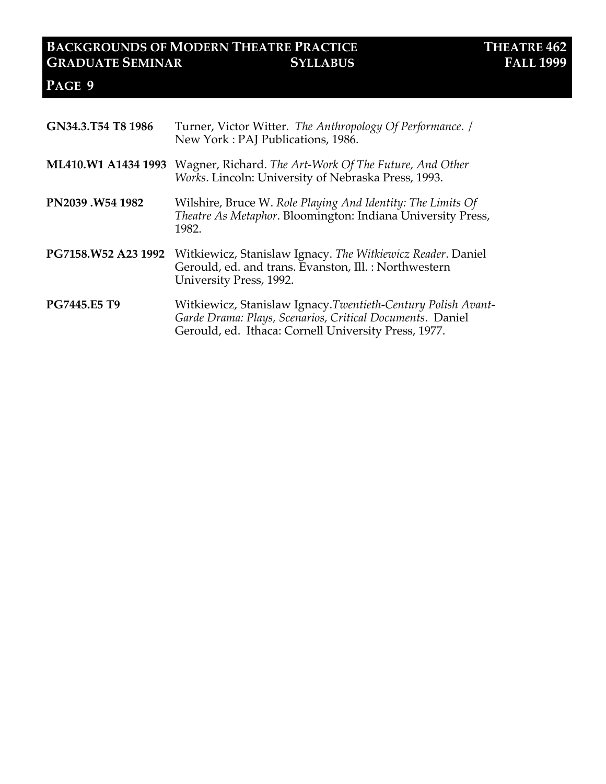| GN34.3.T54 T8 1986  | Turner, Victor Witter. The Anthropology Of Performance. /<br>New York: PAJ Publications, 1986.                                                                                    |  |  |
|---------------------|-----------------------------------------------------------------------------------------------------------------------------------------------------------------------------------|--|--|
| ML410.W1 A1434 1993 | Wagner, Richard. The Art-Work Of The Future, And Other<br>Works. Lincoln: University of Nebraska Press, 1993.                                                                     |  |  |
| PN2039.W54 1982     | Wilshire, Bruce W. Role Playing And Identity: The Limits Of<br>Theatre As Metaphor. Bloomington: Indiana University Press,<br>1982.                                               |  |  |
| PG7158.W52 A23 1992 | Witkiewicz, Stanislaw Ignacy. The Witkiewicz Reader. Daniel<br>Gerould, ed. and trans. Evanston, Ill.: Northwestern<br>University Press, 1992.                                    |  |  |
| PG7445.E5 T9        | Witkiewicz, Stanislaw Ignacy.Twentieth-Century Polish Avant-<br>Garde Drama: Plays, Scenarios, Critical Documents. Daniel<br>Gerould, ed. Ithaca: Cornell University Press, 1977. |  |  |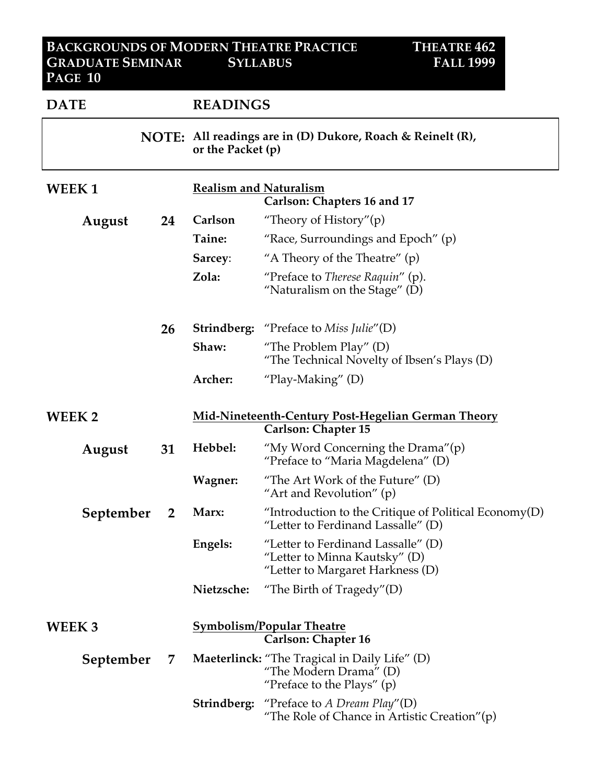| <b>DATE</b>  |    | <b>READINGS</b>                                                                        |                                                                                                                |
|--------------|----|----------------------------------------------------------------------------------------|----------------------------------------------------------------------------------------------------------------|
|              |    | <b>NOTE:</b> All readings are in (D) Dukore, Roach & Reinelt (R),<br>or the Packet (p) |                                                                                                                |
| <b>WEEK1</b> |    | <b>Realism and Naturalism</b>                                                          | Carlson: Chapters 16 and 17                                                                                    |
| August       | 24 | Carlson                                                                                | "Theory of History" $(p)$                                                                                      |
|              |    | Taine:                                                                                 | "Race, Surroundings and Epoch" $(p)$                                                                           |
|              |    | Sarcey:                                                                                | "A Theory of the Theatre" $(p)$                                                                                |
|              |    | Zola:                                                                                  | "Preface to <i>Therese Raquin"</i> (p).<br>"Naturalism on the Stage" $(D)$                                     |
|              | 26 |                                                                                        | <b>Strindberg:</b> "Preface to Miss Julie"(D)                                                                  |
|              |    | Shaw:                                                                                  | "The Problem Play" $(D)$<br>"The Technical Novelty of Ibsen's Plays (D)                                        |
|              |    | Archer:                                                                                | "Play-Making" $(D)$                                                                                            |
| WEEK 2       |    |                                                                                        | Mid-Nineteenth-Century Post-Hegelian German Theory<br><b>Carlson: Chapter 15</b>                               |
| August       | 31 | Hebbel:                                                                                | "My Word Concerning the Drama"(p)<br>"Preface to "Maria Magdelena" (D)                                         |
|              |    | Wagner:                                                                                | "The Art Work of the Future" $(D)$<br>"Art and Revolution" $(p)$                                               |
| September    | 2  | Marx:                                                                                  | "Introduction to the Critique of Political Economy(D)<br>"Letter to Ferdinand Lassalle" $(D)$                  |
|              |    | Engels:                                                                                | "Letter to Ferdinand Lassalle" $(D)$<br>"Letter to Minna Kautsky" (D)<br>"Letter to Margaret Harkness (D)      |
|              |    | Nietzsche:                                                                             | "The Birth of Tragedy" $(D)$                                                                                   |
| WEEK 3       |    |                                                                                        | <b>Symbolism/Popular Theatre</b><br><b>Carlson: Chapter 16</b>                                                 |
| September    | 7  |                                                                                        | <b>Maeterlinck:</b> "The Tragical in Daily Life" (D)<br>"The Modern Drama" (D)<br>"Preface to the Plays" $(p)$ |
|              |    |                                                                                        | <b>Strindberg:</b> "Preface to A Dream Play"(D)<br>"The Role of Chance in Artistic Creation" $(p)$             |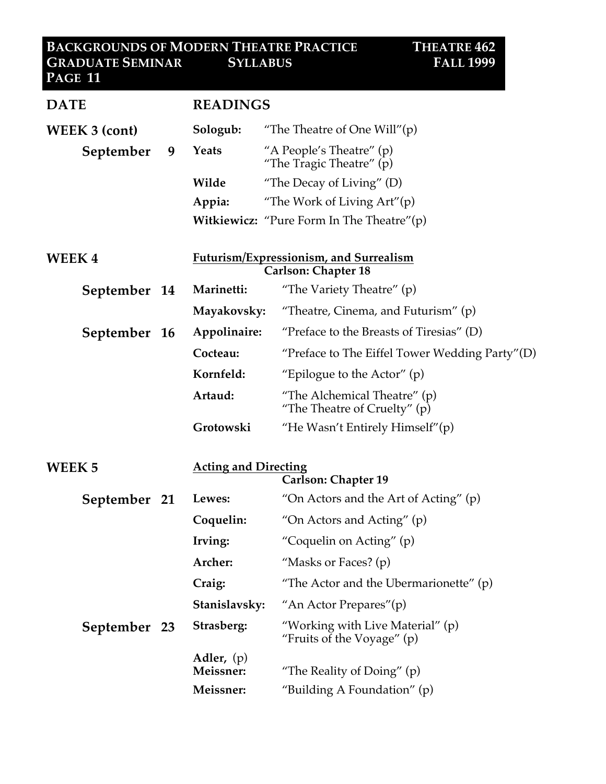| <b>DATE</b>       |                                        | <b>READINGS</b>                                                             |  |
|-------------------|----------------------------------------|-----------------------------------------------------------------------------|--|
| WEEK 3 (cont)     | Sologub:                               | "The Theatre of One Will" $(p)$                                             |  |
| September         | Yeats<br>9                             | "A People's Theatre" $(p)$<br>"The Tragic Theatre" (p)                      |  |
|                   | Wilde                                  | "The Decay of Living" $(D)$                                                 |  |
|                   | Appia:                                 | "The Work of Living $Art''(p)$                                              |  |
|                   |                                        | <b>Witkiewicz:</b> "Pure Form In The Theatre" $(p)$                         |  |
| <b>WEEK4</b>      |                                        | <b>Futurism/Expressionism, and Surrealism</b><br><b>Carlson: Chapter 18</b> |  |
| September 14      | Marinetti:                             | "The Variety Theatre" (p)                                                   |  |
|                   | Mayakovsky:                            | "Theatre, Cinema, and Futurism" $(p)$                                       |  |
| September 16      | Appolinaire:                           | "Preface to the Breasts of Tiresias" $(D)$                                  |  |
|                   | Cocteau:                               | "Preface to The Eiffel Tower Wedding Party"(D)                              |  |
|                   | Kornfeld:                              | "Epilogue to the Actor" $(p)$                                               |  |
|                   | Artaud:                                | "The Alchemical Theatre" $(p)$<br>"The Theatre of Cruelty" (p)              |  |
|                   | Grotowski                              | "He Wasn't Entirely Himself"(p)                                             |  |
| WEEK <sub>5</sub> |                                        | <b>Acting and Directing</b><br><b>Carlson: Chapter 19</b>                   |  |
| September 21      | Lewes:                                 | "On Actors and the Art of Acting" $(p)$                                     |  |
|                   | Coquelin:                              | "On Actors and Acting" $(p)$                                                |  |
|                   | Irving:                                | "Coquelin on Acting" (p)                                                    |  |
|                   | Archer:                                | "Masks or Faces? $(p)$                                                      |  |
|                   | Craig:                                 | "The Actor and the Ubermarionette" $(p)$                                    |  |
|                   | Stanislavsky:                          | "An Actor Prepares"(p)                                                      |  |
| September 23      | Strasberg:                             | "Working with Live Material" (p)<br>"Fruits of the Voyage" (p)              |  |
|                   | Adler, $(p)$<br>Meissner:<br>Meissner: | "The Reality of Doing" (p)<br>"Building A Foundation" $(p)$                 |  |
|                   |                                        |                                                                             |  |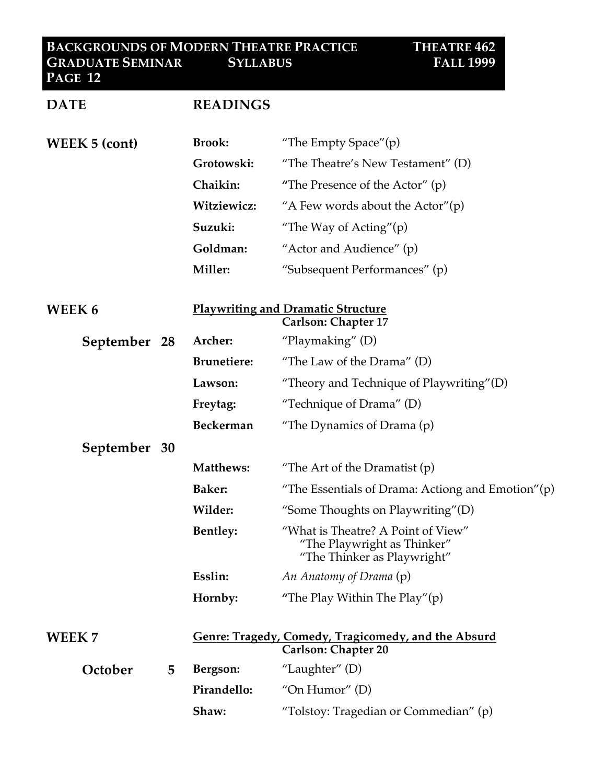#### **BACKGROUNDS OF MODERN THEATRE PRACTICE THEATRE 462 GRADUATE SEMINAR SYLLABUS FALL 1999 PAGE 12**

| <b>DATE</b>          |   | <b>READINGS</b>    |                                                                                                  |
|----------------------|---|--------------------|--------------------------------------------------------------------------------------------------|
| <b>WEEK 5 (cont)</b> |   | <b>Brook:</b>      | "The Empty Space" $(p)$                                                                          |
|                      |   | Grotowski:         | "The Theatre's New Testament" $(D)$                                                              |
|                      |   | Chaikin:           | "The Presence of the Actor" $(p)$                                                                |
|                      |   | Witziewicz:        | "A Few words about the Actor" $(p)$                                                              |
|                      |   | Suzuki:            | "The Way of Acting" $(p)$                                                                        |
|                      |   | Goldman:           | "Actor and Audience" (p)                                                                         |
|                      |   | Miller:            | "Subsequent Performances" (p)                                                                    |
| <b>WEEK6</b>         |   |                    | <b>Playwriting and Dramatic Structure</b><br><b>Carlson: Chapter 17</b>                          |
| September 28         |   | Archer:            | "Playmaking" $(D)$                                                                               |
|                      |   | <b>Brunetiere:</b> | "The Law of the Drama" $(D)$                                                                     |
|                      |   | Lawson:            | "Theory and Technique of Playwriting" $(D)$                                                      |
|                      |   | Freytag:           | "Technique of Drama" (D)                                                                         |
|                      |   | <b>Beckerman</b>   | "The Dynamics of Drama $(p)$                                                                     |
| September 30         |   |                    |                                                                                                  |
|                      |   | Matthews:          | "The Art of the Dramatist $(p)$                                                                  |
|                      |   | <b>Baker:</b>      | "The Essentials of Drama: Actiong and Emotion" $(p)$                                             |
|                      |   | Wilder:            | "Some Thoughts on Playwriting"(D)                                                                |
|                      |   | <b>Bentley:</b>    | "What is Theatre? A Point of View"<br>"The Playwright as Thinker"<br>"The Thinker as Playwright" |
|                      |   | Esslin:            | An Anatomy of Drama (p)                                                                          |
|                      |   | Hornby:            | "The Play Within The Play" $(p)$                                                                 |
| <b>WEEK7</b>         |   |                    | Genre: Tragedy, Comedy, Tragicomedy, and the Absurd<br><b>Carlson: Chapter 20</b>                |
| October              | 5 | Bergson:           | "Laughter" $(D)$                                                                                 |
|                      |   | Pirandello:        | "On Humor" $(D)$                                                                                 |
|                      |   | Shaw:              | "Tolstoy: Tragedian or Commedian" (p)                                                            |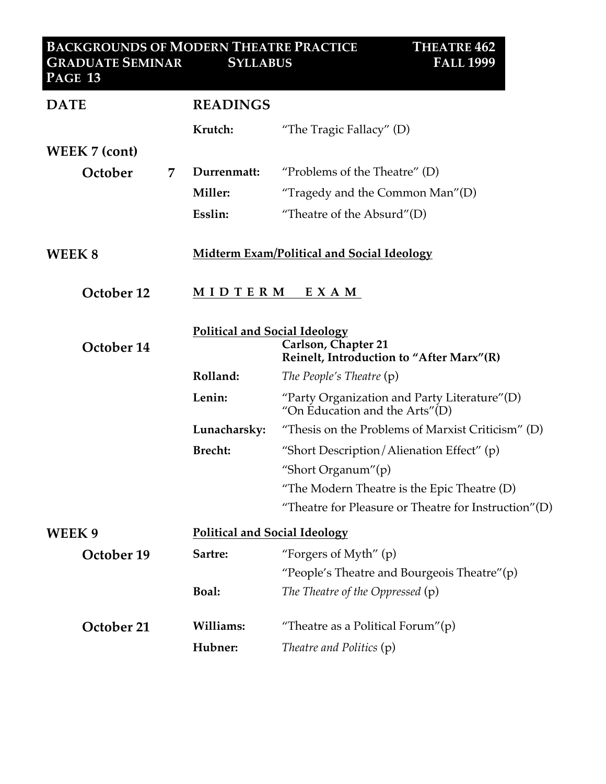| <b>DATE</b>          | <b>READINGS</b>  |                                                                                                         |  |  |
|----------------------|------------------|---------------------------------------------------------------------------------------------------------|--|--|
|                      | Krutch:          | "The Tragic Fallacy" $(D)$                                                                              |  |  |
| <b>WEEK 7 (cont)</b> |                  |                                                                                                         |  |  |
| October              | Durrenmatt:<br>7 | "Problems of the Theatre" $(D)$                                                                         |  |  |
|                      | Miller:          | "Tragedy and the Common Man" $(D)$                                                                      |  |  |
|                      | Esslin:          | "Theatre of the Absurd"(D)                                                                              |  |  |
| WEEK 8               |                  | <b>Midterm Exam/Political and Social Ideology</b>                                                       |  |  |
| October 12           |                  | MIDTERM<br>E X A M                                                                                      |  |  |
| October 14           |                  | <b>Political and Social Ideology</b><br>Carlson, Chapter 21<br>Reinelt, Introduction to "After Marx"(R) |  |  |
|                      | Rolland:         | The People's Theatre (p)                                                                                |  |  |
|                      | Lenin:           | "Party Organization and Party Literature" $(D)$<br>"On Education and the Arts" $(D)$                    |  |  |
|                      | Lunacharsky:     | "Thesis on the Problems of Marxist Criticism" $(D)$                                                     |  |  |
|                      | <b>Brecht:</b>   | "Short Description/Alienation Effect" $(p)$                                                             |  |  |
|                      |                  | "Short Organum"(p)                                                                                      |  |  |
|                      |                  | "The Modern Theatre is the Epic Theatre (D)                                                             |  |  |
|                      |                  | "Theatre for Pleasure or Theatre for Instruction"(D)                                                    |  |  |
| WEEK9                |                  | <b>Political and Social Ideology</b>                                                                    |  |  |
| October 19           | Sartre:          | "Forgers of Myth" $(p)$                                                                                 |  |  |
|                      |                  | "People's Theatre and Bourgeois Theatre"(p)                                                             |  |  |
|                      | <b>Boal:</b>     | The Theatre of the Oppressed (p)                                                                        |  |  |
| October 21           | Williams:        | "Theatre as a Political Forum" $(p)$                                                                    |  |  |
|                      | Hubner:          | Theatre and Politics (p)                                                                                |  |  |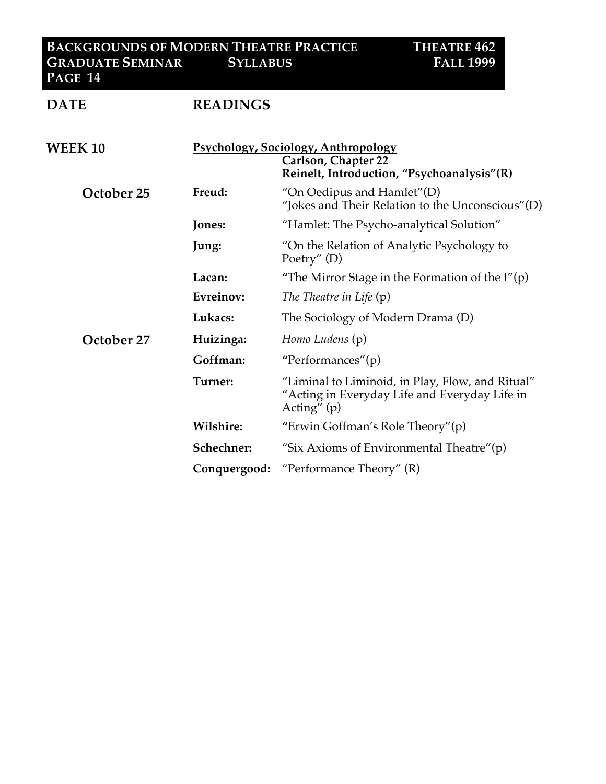#### **BACKGROUNDS OF MODERN THEATRE PRACTICE THEATRE 462 GRADUATE SEMINAR SYLLABUS FALL 1999 PAGE 14**

| <b>DATE</b>    | <b>READINGS</b>                                                                                                 |                                                                                                                    |
|----------------|-----------------------------------------------------------------------------------------------------------------|--------------------------------------------------------------------------------------------------------------------|
| <b>WEEK 10</b> | <b>Psychology, Sociology, Anthropology</b><br>Carlson, Chapter 22<br>Reinelt, Introduction, "Psychoanalysis"(R) |                                                                                                                    |
| October 25     | Freud:                                                                                                          | "On Oedipus and Hamlet" $(D)$<br>"Jokes and Their Relation to the Unconscious"(D)                                  |
|                | Jones:                                                                                                          | "Hamlet: The Psycho-analytical Solution"                                                                           |
|                | Jung:                                                                                                           | "On the Relation of Analytic Psychology to<br>Poetry" $(D)$                                                        |
|                | Lacan:                                                                                                          | "The Mirror Stage in the Formation of the $I''(p)$                                                                 |
|                | Evreinov:                                                                                                       | The Theatre in Life (p)                                                                                            |
|                | Lukacs:                                                                                                         | The Sociology of Modern Drama (D)                                                                                  |
| October 27     | Huizinga:                                                                                                       | Homo Ludens (p)                                                                                                    |
|                | Goffman:                                                                                                        | "Performances"(p)                                                                                                  |
|                | Turner:                                                                                                         | "Liminal to Liminoid, in Play, Flow, and Ritual"<br>"Acting in Everyday Life and Everyday Life in<br>Acting" $(p)$ |
|                | Wilshire:                                                                                                       | "Erwin Goffman's Role Theory" $(p)$                                                                                |
|                | Schechner:                                                                                                      | "Six Axioms of Environmental Theatre" $(p)$                                                                        |
|                | Conquergood:                                                                                                    | "Performance Theory" $(R)$                                                                                         |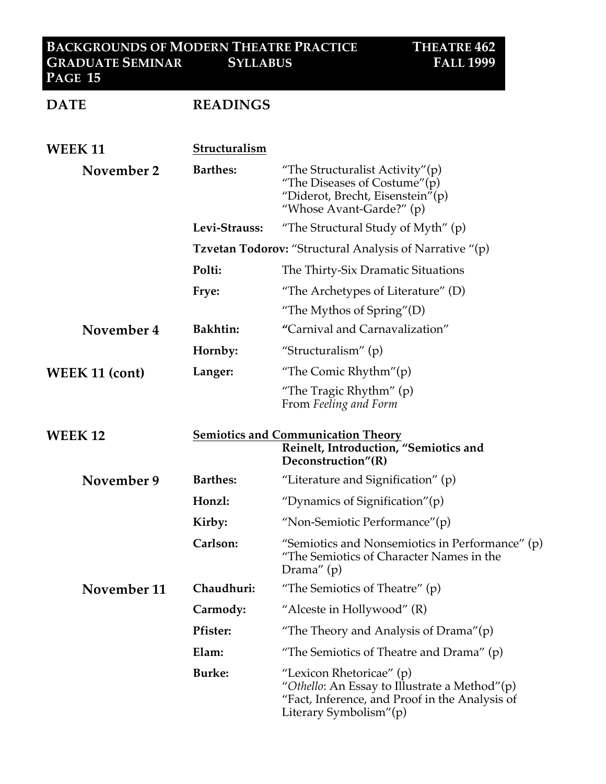# **DATE READINGS**

| <b>WEEK 11</b>        | Structuralism                                                                                            |                                                                                                                                                       |
|-----------------------|----------------------------------------------------------------------------------------------------------|-------------------------------------------------------------------------------------------------------------------------------------------------------|
| November 2            | <b>Barthes:</b>                                                                                          | "The Structuralist Activity" $(p)$<br>"The Diseases of Costume" $(p)$<br>"Diderot, Brecht, Eisenstein"(p)<br>"Whose Avant-Garde?" $(p)$               |
|                       | Levi-Strauss:                                                                                            | "The Structural Study of Myth" $(p)$                                                                                                                  |
|                       | <b>Tzvetan Todorov:</b> "Structural Analysis of Narrative "(p)                                           |                                                                                                                                                       |
|                       | Polti:                                                                                                   | The Thirty-Six Dramatic Situations                                                                                                                    |
|                       | Frye:                                                                                                    | "The Archetypes of Literature" $(D)$                                                                                                                  |
|                       |                                                                                                          | "The Mythos of Spring" $(D)$                                                                                                                          |
| November 4            | <b>Bakhtin:</b>                                                                                          | "Carnival and Carnavalization"                                                                                                                        |
|                       | Hornby:                                                                                                  | "Structuralism" $(p)$                                                                                                                                 |
| <b>WEEK 11 (cont)</b> | Langer:                                                                                                  | "The Comic Rhythm" $(p)$                                                                                                                              |
|                       |                                                                                                          | "The Tragic Rhythm" (p)<br>From Feeling and Form                                                                                                      |
| <b>WEEK 12</b>        | <b>Semiotics and Communication Theory</b><br>Reinelt, Introduction, "Semiotics and<br>Deconstruction"(R) |                                                                                                                                                       |
| November 9            | <b>Barthes:</b>                                                                                          | "Literature and Signification" $(p)$                                                                                                                  |
|                       | Honzl:                                                                                                   | "Dynamics of Signification" $(p)$                                                                                                                     |
|                       | Kirby:                                                                                                   | "Non-Semiotic Performance"(p)                                                                                                                         |
|                       | Carlson:                                                                                                 | "Semiotics and Nonsemiotics in Performance" (p)<br>"The Semiotics of Character Names in the<br>Drama" $(p)$                                           |
| November 11           | Chaudhuri:                                                                                               | "The Semiotics of Theatre" $(p)$                                                                                                                      |
|                       | Carmody:                                                                                                 | "Alceste in Hollywood" $(R)$                                                                                                                          |
|                       | <b>Pfister:</b>                                                                                          | "The Theory and Analysis of Drama"(p)                                                                                                                 |
|                       | Elam:                                                                                                    | "The Semiotics of Theatre and Drama" $(p)$                                                                                                            |
|                       | <b>Burke:</b>                                                                                            | "Lexicon Rhetoricae" (p)<br>"Othello: An Essay to Illustrate a Method"(p)<br>"Fact, Inference, and Proof in the Analysis of<br>Literary Symbolism"(p) |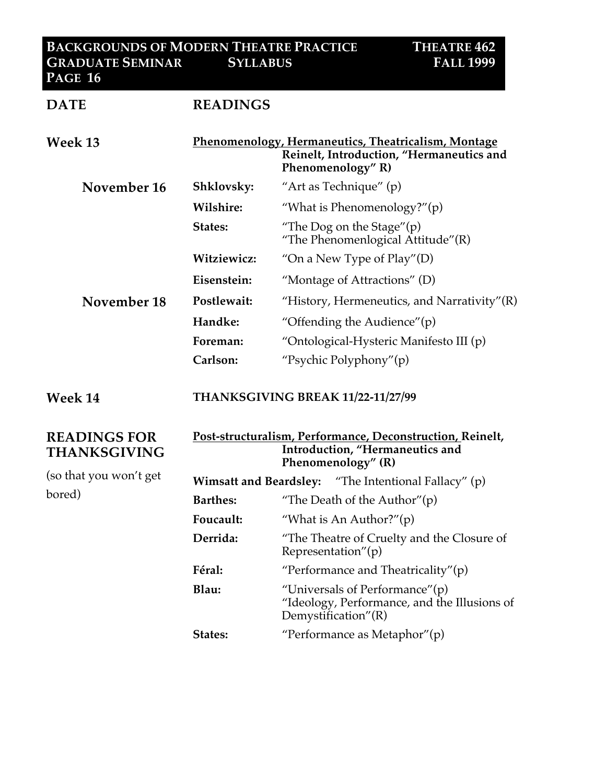#### **BACKGROUNDS OF MODERN THEATRE PRACTICE THEATRE 462 GRADUATE SEMINAR SYLLABUS FALL 1999 PAGE 16**

| <b>DATE</b>                                | <b>READINGS</b>                                                                                                    |                                                                                                                      |
|--------------------------------------------|--------------------------------------------------------------------------------------------------------------------|----------------------------------------------------------------------------------------------------------------------|
| Week 13                                    |                                                                                                                    | Phenomenology, Hermaneutics, Theatricalism, Montage<br>Reinelt, Introduction, "Hermaneutics and<br>Phenomenology" R) |
| November 16                                | Shklovsky:                                                                                                         | "Art as Technique" (p)                                                                                               |
|                                            | Wilshire:                                                                                                          | "What is Phenomenology?" $(p)$                                                                                       |
|                                            | States:                                                                                                            | "The Dog on the Stage" $(p)$<br>"The Phenomenlogical Attitude"(R)                                                    |
|                                            | Witziewicz:                                                                                                        | "On a New Type of $Play" (D)$                                                                                        |
|                                            | Eisenstein:                                                                                                        | "Montage of Attractions" (D)                                                                                         |
| November 18                                | Postlewait:                                                                                                        | "History, Hermeneutics, and Narrativity" $(R)$                                                                       |
|                                            | Handke:                                                                                                            | "Offending the Audience" $(p)$                                                                                       |
|                                            | Foreman:                                                                                                           | "Ontological-Hysteric Manifesto III (p)                                                                              |
|                                            | Carlson:                                                                                                           | "Psychic Polyphony"(p)                                                                                               |
| Week 14                                    | THANKSGIVING BREAK 11/22-11/27/99                                                                                  |                                                                                                                      |
| <b>READINGS FOR</b><br><b>THANKSGIVING</b> | Post-structuralism, Performance, Deconstruction, Reinelt,<br>Introduction, "Hermaneutics and<br>Phenomenology" (R) |                                                                                                                      |
| (so that you won't get<br>bored)           |                                                                                                                    | <b>Wimsatt and Beardsley:</b> "The Intentional Fallacy" (p)                                                          |
|                                            | <b>Barthes:</b>                                                                                                    | "The Death of the Author" $(p)$                                                                                      |
|                                            | Foucault:                                                                                                          | "What is An Author?" $(p)$                                                                                           |
|                                            | Derrida:                                                                                                           | "The Theatre of Cruelty and the Closure of<br>Representation"(p)                                                     |
|                                            | Féral:                                                                                                             | "Performance and Theatricality" $(p)$                                                                                |
|                                            | Blau:                                                                                                              | "Universals of Performance" $(p)$<br>"Ideology, Performance, and the Illusions of<br>Demystification" $(R)$          |

States: "Performance as Metaphor"(p)